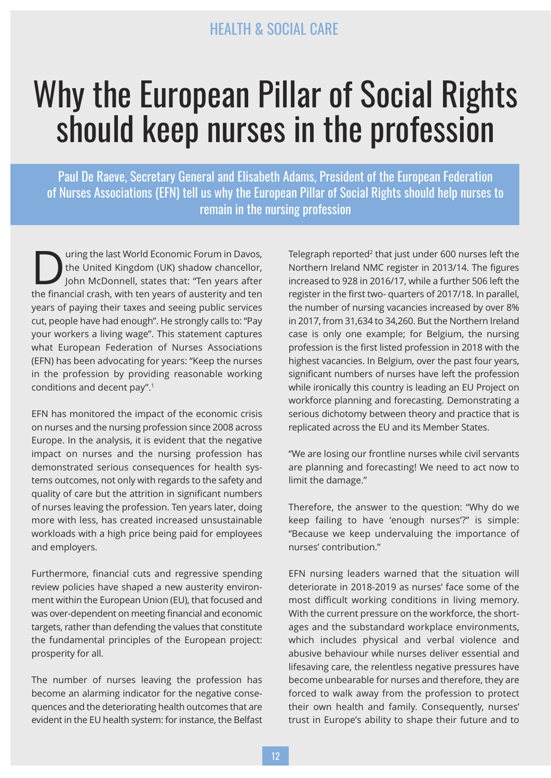# Why the European Pillar of Social Rights should keep nurses in the profession

Paul De Raeve, Secretary General and Elisabeth Adams, President of the European Federation of Nurses Associations (EFN) tell us why the European Pillar of Social Rights should help nurses to remain in the nursing profession

Uning the last World Economic Forum in Davos,<br>the United Kingdom (UK) shadow chancellor,<br>John McDonnell, states that: "Ten years after<br>the financial state, with ten years of austerity and ten the United Kingdom (UK) shadow chancellor, John McDonnell, states that: "Ten years after the financial crash, with ten years of austerity and ten years of paying their taxes and seeing public services cut, people have had enough". He strongly calls to: "Pay your workers a living wage". This statement captures what European Federation of Nurses Associations (EFN) has been advocating for years: "Keep the nurses in the profession by providing reasonable working conditions and decent pay". 1

EFN has monitored the impact of the economic crisis on nurses and the nursing profession since 2008 across Europe. In the analysis, it is evident that the negative impact on nurses and the nursing profession has demonstrated serious consequences for health systems outcomes, not only with regards to the safety and quality of care but the attrition in significant numbers of nurses leaving the profession. Ten years later, doing more with less, has created increased unsustainable workloads with a high price being paid for employees and employers.

Furthermore, financial cuts and regressive spending review policies have shaped a new austerity environment within the European Union (EU), that focused and was over-dependent on meeting financial and economic targets, rather than defending the values that constitute the fundamental principles of the European project: prosperity for all.

The number of nurses leaving the profession has become an alarming indicator for the negative consequences and the deteriorating health outcomes that are evident in the EU health system: for instance, the Belfast Telegraph reported<sup>2</sup> that just under 600 nurses left the Northern Ireland NMC register in 2013/14. The figures increased to 928 in 2016/17, while a further 506 left the register in the first two- quarters of 2017/18. In parallel, the number of nursing vacancies increased by over 8% in 2017, from 31,634 to 34,260. But the Northern Ireland case is only one example; for Belgium, the nursing profession is the first listed profession in 2018 with the highest vacancies. In Belgium, over the past four years, significant numbers of nurses have left the profession while ironically this country is leading an EU Project on workforce planning and forecasting. Demonstrating a serious dichotomy between theory and practice that is replicated across the EU and its Member States.

"We are losing our frontline nurses while civil servants are planning and forecasting! We need to act now to limit the damage."

Therefore, the answer to the question: "Why do we keep failing to have 'enough nurses'?" is simple: "Because we keep undervaluing the importance of nurses' contribution."

EFN nursing leaders warned that the situation will deteriorate in 2018-2019 as nurses' face some of the most difficult working conditions in living memory. With the current pressure on the workforce, the shortages and the substandard workplace environments, which includes physical and verbal violence and abusive behaviour while nurses deliver essential and lifesaving care, the relentless negative pressures have become unbearable for nurses and therefore, they are forced to walk away from the profession to protect their own health and family. Consequently, nurses' trust in Europe's ability to shape their future and to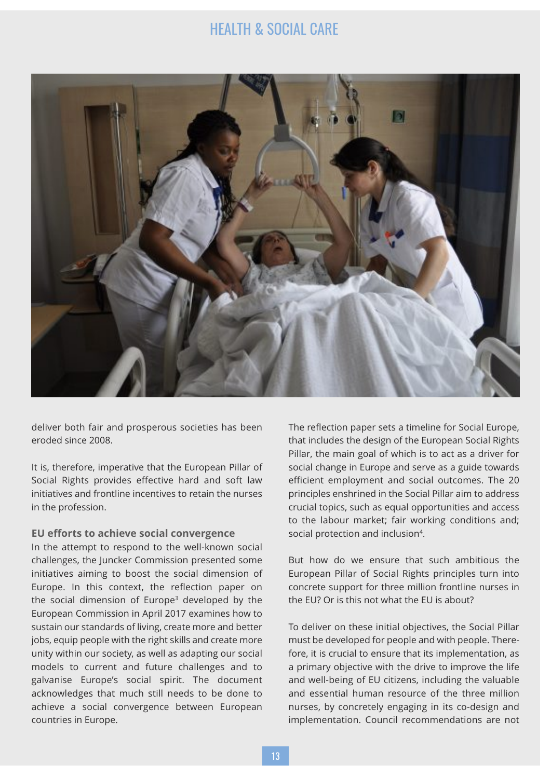

deliver both fair and prosperous societies has been eroded since 2008.

It is, therefore, imperative that the European Pillar of Social Rights provides effective hard and soft law initiatives and frontline incentives to retain the nurses in the profession.

### **EU efforts to achieve social convergence**

In the attempt to respond to the well-known social challenges, the Juncker Commission presented some initiatives aiming to boost the social dimension of Europe. In this context, the reflection paper on the social dimension of Europe<sup>3</sup> developed by the European Commission in April 2017 examines how to sustain our standards of living, create more and better jobs, equip people with the right skills and create more unity within our society, as well as adapting our social models to current and future challenges and to galvanise Europe's social spirit. The document acknowledges that much still needs to be done to achieve a social convergence between European countries in Europe.

The reflection paper sets a timeline for Social Europe, that includes the design of the European Social Rights Pillar, the main goal of which is to act as a driver for social change in Europe and serve as a guide towards efficient employment and social outcomes. The 20 principles enshrined in the Social Pillar aim to address crucial topics, such as equal opportunities and access to the labour market; fair working conditions and; social protection and inclusion4.

But how do we ensure that such ambitious the European Pillar of Social Rights principles turn into concrete support for three million frontline nurses in the EU? Or is this not what the EU is about?

To deliver on these initial objectives, the Social Pillar must be developed for people and with people. Therefore, it is crucial to ensure that its implementation, as a primary objective with the drive to improve the life and well-being of EU citizens, including the valuable and essential human resource of the three million nurses, by concretely engaging in its co-design and implementation. Council recommendations are not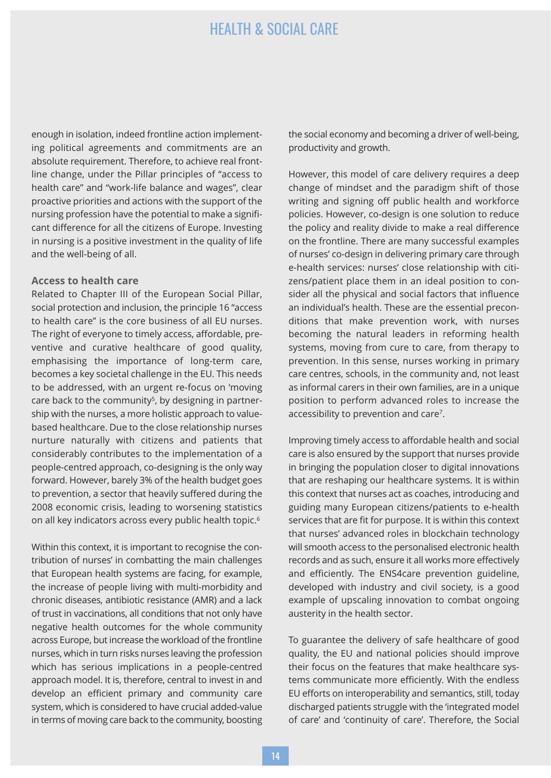enough in isolation, indeed frontline action implementing political agreements and commitments are an absolute requirement. Therefore, to achieve real frontline change, under the Pillar principles of "access to health care" and "work-life balance and wages", clear proactive priorities and actions with the support of the nursing profession have the potential to make a significant difference for all the citizens of Europe. Investing in nursing is a positive investment in the quality of life and the well-being of all.

#### **Access to health care**

Related to Chapter III of the European Social Pillar, social protection and inclusion, the principle 16 "access to health care" is the core business of all EU nurses. The right of everyone to timely access, affordable, preventive and curative healthcare of good quality, emphasising the importance of long-term care, becomes a key societal challenge in the EU. This needs to be addressed, with an urgent re-focus on 'moving care back to the community<sup>5</sup>, by designing in partnership with the nurses, a more holistic approach to valuebased healthcare. Due to the close relationship nurses nurture naturally with citizens and patients that considerably contributes to the implementation of a people-centred approach, co-designing is the only way forward. However, barely 3% of the health budget goes to prevention, a sector that heavily suffered during the 2008 economic crisis, leading to worsening statistics on all key indicators across every public health topic. 6

Within this context, it is important to recognise the contribution of nurses' in combatting the main challenges that European health systems are facing, for example, the increase of people living with multi-morbidity and chronic diseases, antibiotic resistance (AMR) and a lack of trust in vaccinations, all conditions that not only have negative health outcomes for the whole community across Europe, but increase the workload of the frontline nurses, which in turn risks nurses leaving the profession which has serious implications in a people-centred approach model. It is, therefore, central to invest in and develop an efficient primary and community care system, which is considered to have crucial added-value in terms of moving care back to the community, boosting the social economy and becoming a driver of well-being, productivity and growth.

However, this model of care delivery requires a deep change of mindset and the paradigm shift of those writing and signing off public health and workforce policies. However, co-design is one solution to reduce the policy and reality divide to make a real difference on the frontline. There are many successful examples of nurses' co-design in delivering primary care through e-health services: nurses' close relationship with citizens/patient place them in an ideal position to consider all the physical and social factors that influence an individual's health. These are the essential preconditions that make prevention work, with nurses becoming the natural leaders in reforming health systems, moving from cure to care, from therapy to prevention. In this sense, nurses working in primary care centres, schools, in the community and, not least as informal carers in their own families, are in a unique position to perform advanced roles to increase the accessibility to prevention and care7.

Improving timely access to affordable health and social care is also ensured by the support that nurses provide in bringing the population closer to digital innovations that are reshaping our healthcare systems. It is within this context that nurses act as coaches, introducing and guiding many European citizens/patients to e-health services that are fit for purpose. It is within this context that nurses' advanced roles in blockchain technology will smooth access to the personalised electronic health records and as such, ensure it all works more effectively and efficiently. The ENS4care prevention guideline, developed with industry and civil society, is a good example of upscaling innovation to combat ongoing austerity in the health sector.

To guarantee the delivery of safe healthcare of good quality, the EU and national policies should improve their focus on the features that make healthcare systems communicate more efficiently. With the endless EU efforts on interoperability and semantics, still, today discharged patients struggle with the 'integrated model of care' and 'continuity of care'. Therefore, the Social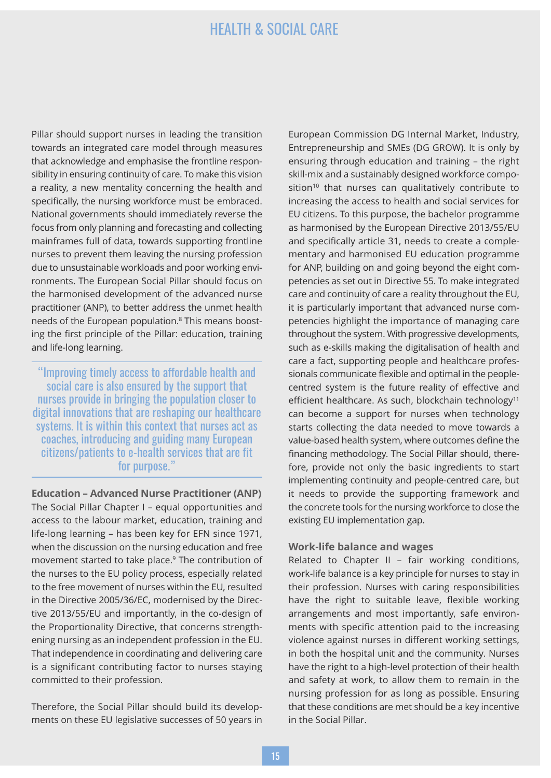Pillar should support nurses in leading the transition towards an integrated care model through measures that acknowledge and emphasise the frontline responsibility in ensuring continuity of care. To make this vision a reality, a new mentality concerning the health and specifically, the nursing workforce must be embraced. National governments should immediately reverse the focus from only planning and forecasting and collecting mainframes full of data, towards supporting frontline nurses to prevent them leaving the nursing profession due to unsustainable workloads and poor working environments. The European Social Pillar should focus on the harmonised development of the advanced nurse practitioner (ANP), to better address the unmet health needs of the European population. <sup>8</sup> This means boosting the first principle of the Pillar: education, training and life-long learning.

"Improving timely access to affordable health and social care is also ensured by the support that nurses provide in bringing the population closer to digital innovations that are reshaping our healthcare systems. It is within this context that nurses act as coaches, introducing and guiding many European citizens/patients to e-health services that are fit for purpose."

**Education – Advanced Nurse Practitioner (ANP)** The Social Pillar Chapter I – equal opportunities and access to the labour market, education, training and life-long learning – has been key for EFN since 1971, when the discussion on the nursing education and free movement started to take place. <sup>9</sup> The contribution of the nurses to the EU policy process, especially related to the free movement of nurses within the EU, resulted in the Directive 2005/36/EC, modernised by the Directive 2013/55/EU and importantly, in the co-design of the Proportionality Directive, that concerns strengthening nursing as an independent profession in the EU. That independence in coordinating and delivering care is a significant contributing factor to nurses staying committed to their profession.

Therefore, the Social Pillar should build its developments on these EU legislative successes of 50 years in European Commission DG Internal Market, Industry, Entrepreneurship and SMEs (DG GROW). It is only by ensuring through education and training – the right skill-mix and a sustainably designed workforce composition $10$  that nurses can qualitatively contribute to increasing the access to health and social services for EU citizens. To this purpose, the bachelor programme as harmonised by the European Directive 2013/55/EU and specifically article 31, needs to create a complementary and harmonised EU education programme for ANP, building on and going beyond the eight competencies as set out in Directive 55. To make integrated care and continuity of care a reality throughout the EU, it is particularly important that advanced nurse competencies highlight the importance of managing care throughout the system. With progressive developments, such as e-skills making the digitalisation of health and care a fact, supporting people and healthcare professionals communicate flexible and optimal in the peoplecentred system is the future reality of effective and efficient healthcare. As such, blockchain technology<sup>11</sup> can become a support for nurses when technology starts collecting the data needed to move towards a value-based health system, where outcomes define the financing methodology. The Social Pillar should, therefore, provide not only the basic ingredients to start implementing continuity and people-centred care, but it needs to provide the supporting framework and the concrete tools for the nursing workforce to close the existing EU implementation gap.

#### **Work-life balance and wages**

Related to Chapter II – fair working conditions, work-life balance is a key principle for nurses to stay in their profession. Nurses with caring responsibilities have the right to suitable leave, flexible working arrangements and most importantly, safe environments with specific attention paid to the increasing violence against nurses in different working settings, in both the hospital unit and the community. Nurses have the right to a high-level protection of their health and safety at work, to allow them to remain in the nursing profession for as long as possible. Ensuring that these conditions are met should be a key incentive in the Social Pillar.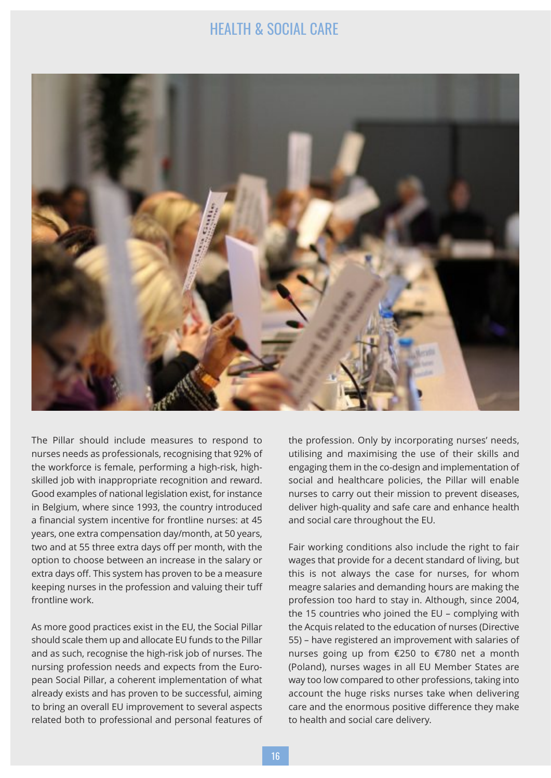

The Pillar should include measures to respond to nurses needs as professionals, recognising that 92% of the workforce is female, performing a high-risk, highskilled job with inappropriate recognition and reward. Good examples of national legislation exist, for instance in Belgium, where since 1993, the country introduced a financial system incentive for frontline nurses: at 45 years, one extra compensation day/month, at 50 years, two and at 55 three extra days off per month, with the option to choose between an increase in the salary or extra days off. This system has proven to be a measure keeping nurses in the profession and valuing their tuff frontline work.

As more good practices exist in the EU, the Social Pillar should scale them up and allocate EU funds to the Pillar and as such, recognise the high-risk job of nurses. The nursing profession needs and expects from the European Social Pillar, a coherent implementation of what already exists and has proven to be successful, aiming to bring an overall EU improvement to several aspects related both to professional and personal features of the profession. Only by incorporating nurses' needs, utilising and maximising the use of their skills and engaging them in the co-design and implementation of social and healthcare policies, the Pillar will enable nurses to carry out their mission to prevent diseases, deliver high-quality and safe care and enhance health and social care throughout the EU.

Fair working conditions also include the right to fair wages that provide for a decent standard of living, but this is not always the case for nurses, for whom meagre salaries and demanding hours are making the profession too hard to stay in. Although, since 2004, the 15 countries who joined the EU – complying with the Acquis related to the education of nurses (Directive 55) – have registered an improvement with salaries of nurses going up from €250 to €780 net a month (Poland), nurses wages in all EU Member States are way too low compared to other professions, taking into account the huge risks nurses take when delivering care and the enormous positive difference they make to health and social care delivery.